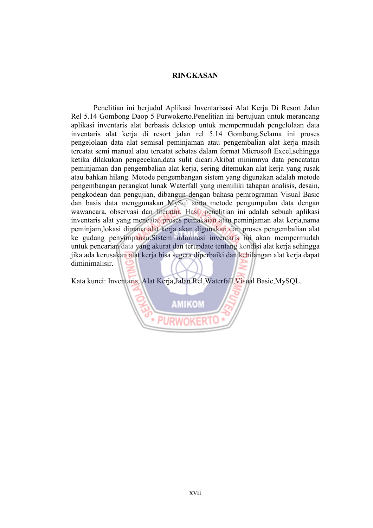## **RINGKASAN**

 Penelitian ini berjudul Aplikasi Inventarisasi Alat Kerja Di Resort Jalan Rel 5.14 Gombong Daop 5 Purwokerto.Penelitian ini bertujuan untuk merancang aplikasi inventaris alat berbasis dekstop untuk mempermudah pengelolaan data inventaris alat kerja di resort jalan rel 5.14 Gombong.Selama ini proses pengelolaan data alat semisal peminjaman atau pengembalian alat kerja masih tercatat semi manual atau tercatat sebatas dalam format Microsoft Excel,sehingga ketika dilakukan pengecekan,data sulit dicari.Akibat minimnya data pencatatan peminjaman dan pengembalian alat kerja, sering ditemukan alat kerja yang rusak atau bahkan hilang. Metode pengembangan sistem yang digunakan adalah metode pengembangan perangkat lunak Waterfall yang memiliki tahapan analisis, desain, pengkodean dan pengujian, dibangun dengan bahasa pemrograman Visual Basic dan basis data menggunakan MySql serta metode pengumpulan data dengan wawancara, observasi dan literatur. Hasil penelitian ini adalah sebuah aplikasi inventaris alat yang mencatat proses pemakaian atau peminjaman alat kerja,nama peminjam,lokasi dimana alat kerja akan digunakan dan proses pengembalian alat ke gudang penyimpanan.Sistem informasi inventaris ini akan mempermudah untuk pencarian data yang akurat dan terupdate tentang kondisi alat kerja sehingga jika ada kerusakan alat kerja bisa segera diperbaiki dan kehilangan alat kerja dapat diminimalisir.

Kata kunci: Inventaris, Alat Kerja,Jalan Rel,Waterfall,Visual Basic,MySQL.

**AMIKOM**